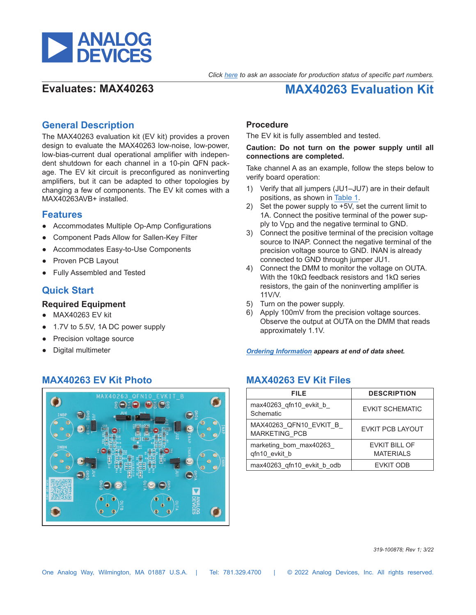

# **Evaluates: MAX40263 MAX40263 Evaluation Kit**

## **General Description**

The MAX40263 evaluation kit (EV kit) provides a proven design to evaluate the MAX40263 low-noise, low-power, low-bias-current dual operational amplifier with independent shutdown for each channel in a 10-pin QFN package. The EV kit circuit is preconfigured as noninverting amplifiers, but it can be adapted to other topologies by changing a few of components. The EV kit comes with a MAX40263AVB+ installed.

### **Features**

- Accommodates Multiple Op-Amp Configurations
- Component Pads Allow for Sallen-Key Filter
- Accommodates Easy-to-Use Components
- Proven PCB Layout
- **Fully Assembled and Tested**

# **Quick Start**

### **Required Equipment**

- MAX40263 EV kit
- 1.7V to 5.5V, 1A DC power supply
- Precision voltage source
- **Digital multimeter**

## **MAX40263 EV Kit Photo MAX40263 EV Kit Files**



### **Procedure**

The EV kit is fully assembled and tested.

#### **Caution: Do not turn on the power supply until all connections are completed.**

Take channel A as an example, follow the steps below to verify board operation:

- 1) Verify that all jumpers (JU1–JU7) are in their default positions, as shown in [Table 1.](#page-1-0)
- 2) Set the power supply to +5V, set the current limit to 1A. Connect the positive terminal of the power supply to  $V_{DD}$  and the negative terminal to GND.
- 3) Connect the positive terminal of the precision voltage source to INAP. Connect the negative terminal of the precision voltage source to GND. INAN is already connected to GND through jumper JU1.
- 4) Connect the DMM to monitor the voltage on OUTA. With the 10kΩ feedback resistors and 1kΩ series resistors, the gain of the noninverting amplifier is 11V/V.
- 5) Turn on the power supply.
- 6) Apply 100mV from the precision voltage sources. Observe the output at OUTA on the DMM that reads approximately 1.1V.

*[Ordering Information](#page-3-0) appears at end of data sheet.*

| FILE                                           | <b>DESCRIPTION</b>                       |  |  |
|------------------------------------------------|------------------------------------------|--|--|
| max40263 qfn10 evkit b<br>Schematic            | <b>EVKIT SCHEMATIC</b>                   |  |  |
| MAX40263 QFN10 EVKIT B<br><b>MARKETING PCB</b> | <b>EVKIT PCB LAYOUT</b>                  |  |  |
| marketing bom max40263<br>gfn10 evkit b        | <b>EVKIT BILL OF</b><br><b>MATERIALS</b> |  |  |
| max40263 qfn10 evkit b odb                     | <b>EVKIT ODB</b>                         |  |  |

*319-100878; Rev 1; 3/22*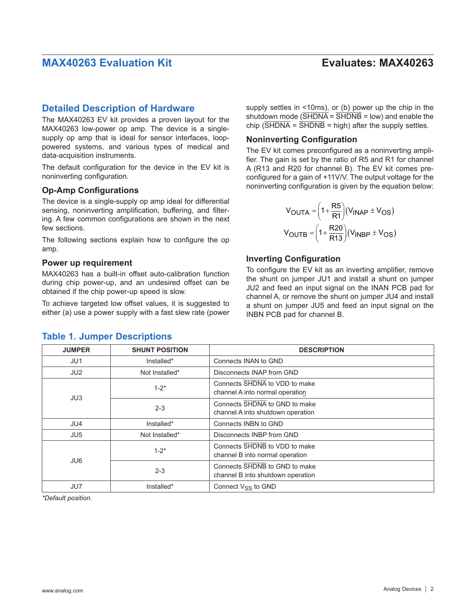### **Detailed Description of Hardware**

The MAX40263 EV kit provides a proven layout for the MAX40263 low-power op amp. The device is a singlesupply op amp that is ideal for sensor interfaces, looppowered systems, and various types of medical and data-acquisition instruments.

The default configuration for the device in the EV kit is noninverting configuration.

### **Op-Amp Configurations**

The device is a single-supply op amp ideal for differential sensing, noninverting amplification, buffering, and filtering. A few common configurations are shown in the next few sections.

The following sections explain how to configure the op amp.

#### **Power up requirement**

<span id="page-1-0"></span>**Table 1. Jumper Descriptions**

MAX40263 has a built-in offset auto-calibration function during chip power-up, and an undesired offset can be obtained if the chip power-up speed is slow.

To achieve targeted low offset values, it is suggested to either (a) use a power supply with a fast slew rate (power

#### supply settles in <10ms), or (b) power up the chip in the shutdown mode  $(\overline{\text{SHDNA}} = \overline{\text{SHDNA}} = \text{low})$  and enable the chip  $(\overline{\text{SHDNA}} = \overline{\text{SHDNB}} = \text{high})$  after the supply settles.

### **Noninverting Configuration**

The EV kit comes preconfigured as a noninverting amplifier. The gain is set by the ratio of R5 and R1 for channel A (R13 and R20 for channel B). The EV kit comes preconfigured for a gain of +11V/V. The output voltage for the noninverting configuration is given by the equation below:

$$
V_{OUTA} = \left(1 + \frac{RS}{R1}\right) (V_{INAP} \pm V_{OS})
$$

$$
V_{OUTB} = \left(1 + \frac{R20}{R13}\right) (V_{INBP} \pm V_{OS})
$$

### **Inverting Configuration**

To configure the EV kit as an inverting amplifier, remove the shunt on jumper JU1 and install a shunt on jumper JU2 and feed an input signal on the INAN PCB pad for channel A, or remove the shunt on jumper JU4 and install a shunt on jumper JU5 and feed an input signal on the INBN PCB pad for channel B.

| <b>JUMPER</b>   | <b>SHUNT POSITION</b> | <b>DESCRIPTION</b>                                                 |
|-----------------|-----------------------|--------------------------------------------------------------------|
| JU1             | Installed*            | Connects INAN to GND                                               |
| JU <sub>2</sub> | Not Installed*        | Disconnects INAP from GND                                          |
|                 | $1 - 2^*$             | Connects SHDNA to VDD to make<br>channel A into normal operation   |
| JU3             | $2 - 3$               | Connects SHDNA to GND to make<br>channel A into shutdown operation |
| JU4             | Installed*            | Connects INBN to GND                                               |
| JU <sub>5</sub> | Not Installed*        | Disconnects INBP from GND                                          |
| JU <sub>6</sub> | $1 - 2^*$             | Connects SHDNB to VDD to make<br>channel B into normal operation   |
|                 | $2 - 3$               | Connects SHDNB to GND to make<br>channel B into shutdown operation |
| JU7             | Installed*            | Connect V <sub>SS</sub> to GND                                     |

*\*Default position.*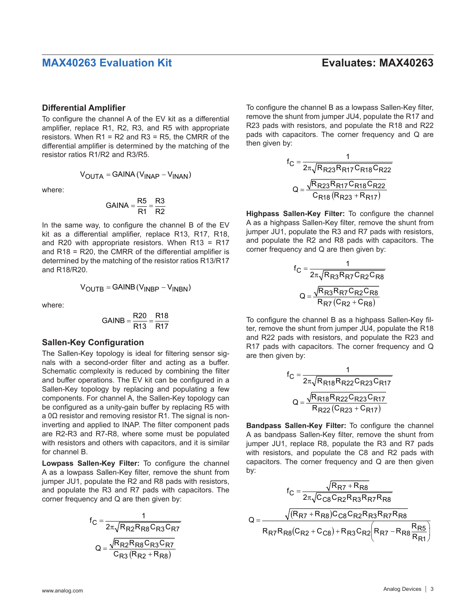#### **Differential Amplifier**

To configure the channel A of the EV kit as a differential amplifier, replace R1, R2, R3, and R5 with appropriate resistors. When  $R1 = R2$  and  $R3 = R5$ , the CMRR of the differential amplifier is determined by the matching of the resistor ratios R1/R2 and R3/R5.

$$
V_{\text{OUTA}} = \text{GAINA} (V_{\text{INAP}} - V_{\text{INAN}})
$$

where:

$$
GAINA = \frac{R5}{R1} = \frac{R3}{R2}
$$

In the same way, to configure the channel B of the EV kit as a differential amplifier, replace R13, R17, R18, and R20 with appropriate resistors. When R13 = R17 and R18 = R20, the CMRR of the differential amplifier is determined by the matching of the resistor ratios R13/R17 and R18/R20.

$$
V_{OUTB} = GAMNB(V_{INBP} - V_{INBN})
$$

where:

$$
GAINB = \frac{R20}{R13} = \frac{R18}{R17}
$$

#### **Sallen-Key Configuration**

The Sallen-Key topology is ideal for filtering sensor signals with a second-order filter and acting as a buffer. Schematic complexity is reduced by combining the filter and buffer operations. The EV kit can be configured in a Sallen-Key topology by replacing and populating a few components. For channel A, the Sallen-Key topology can be configured as a unity-gain buffer by replacing R5 with a 0Ω resistor and removing resistor R1. The signal is noninverting and applied to INAP. The filter component pads are R2-R3 and R7-R8, where some must be populated with resistors and others with capacitors, and it is similar for channel B.

**Lowpass Sallen-Key Filter:** To configure the channel A as a lowpass Sallen-Key filter, remove the shunt from jumper JU1, populate the R2 and R8 pads with resistors, and populate the R3 and R7 pads with capacitors. The corner frequency and Q are then given by:

$$
f_C = \frac{1}{2\pi\sqrt{R_{R2}R_{R8}C_{R3}C_{R7}}}
$$

$$
Q = \frac{\sqrt{R_{R2}R_{R8}C_{R3}C_{R7}}}{C_{R3}(R_{R2} + R_{R8})}
$$

To configure the channel B as a lowpass Sallen-Key filter, remove the shunt from jumper JU4, populate the R17 and R23 pads with resistors, and populate the R18 and R22 pads with capacitors. The corner frequency and Q are then given by:

$$
f_{C} = \frac{1}{2\pi\sqrt{R_{R23}R_{R17}C_{R18}C_{R22}}}
$$

$$
Q = \frac{\sqrt{R_{R23}R_{R17}C_{R18}C_{R22}}}{C_{R18}(R_{R23} + R_{R17})}
$$

**Highpass Sallen-Key Filter:** To configure the channel A as a highpass Sallen-Key filter, remove the shunt from jumper JU1, populate the R3 and R7 pads with resistors, and populate the R2 and R8 pads with capacitors. The corner frequency and Q are then given by:

$$
f_C = \frac{1}{2\pi\sqrt{R_{R3}R_{R7}C_{R2}C_{R8}}}
$$

$$
Q = \frac{\sqrt{R_{R3}R_{R7}C_{R2}C_{R8}}}{R_{R7}(C_{R2} + C_{R8})}
$$

To configure the channel B as a highpass Sallen-Key filter, remove the shunt from jumper JU4, populate the R18 and R22 pads with resistors, and populate the R23 and R17 pads with capacitors. The corner frequency and Q are then given by:

$$
f_{C} = \frac{1}{2\pi\sqrt{R_{R18}R_{R22}C_{R23}C_{R17}}}
$$

$$
Q = \frac{\sqrt{R_{R18}R_{R22}C_{R23}C_{R17}}}{R_{R22}(C_{R23} + C_{R17})}
$$

**Bandpass Sallen-Key Filter:** To configure the channel A as bandpass Sallen-Key filter, remove the shunt from jumper JU1, replace R8, populate the R3 and R7 pads with resistors, and populate the C8 and R2 pads with capacitors. The corner frequency and Q are then given by:

$$
f_C = \frac{\sqrt{R_{R7} + R_{R8}}}{2\pi\sqrt{C_{C8}C_{R2}R_{R3}R_{R7}R_{R8}}}
$$

$$
Q = \frac{\sqrt{(R_{R7} + R_{R8})C_{C8}C_{R2}R_{R3}R_{R7}R_{R8}}}{R_{R7}R_{R8}(C_{R2} + C_{C8}) + R_{R3}C_{R2}(R_{R7} - R_{R8}\frac{R_{R5}}{R_{R1}})}
$$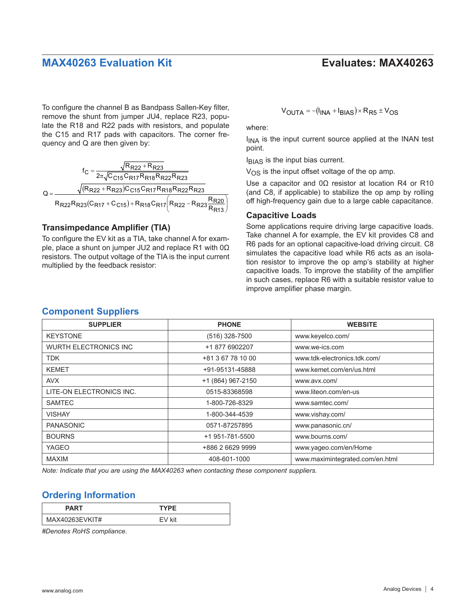To configure the channel B as Bandpass Sallen-Key filter, remove the shunt from jumper JU4, replace R23, populate the R18 and R22 pads with resistors, and populate the C15 and R17 pads with capacitors. The corner frequency and Q are then given by:

$$
f_C = \frac{\sqrt{R_{R22} + R_{R23}}}{2\pi\sqrt{C_{C15}C_{R17}R_{R18}R_{R22}R_{R23}}}
$$

$$
Q = \frac{\sqrt{(R_{R22} + R_{R23})C_{C15}C_{R17}R_{R18}R_{R22}R_{R23}}}{R_{R22}R_{R23}(C_{R17} + C_{C15}) + R_{R18}C_{R17}\left(R_{R22} - R_{R23}\frac{R_{R20}}{R_{R13}}\right)}
$$

### **Transimpedance Amplifier (TIA)**

To configure the EV kit as a TIA, take channel A for example, place a shunt on jumper JU2 and replace R1 with 0Ω resistors. The output voltage of the TIA is the input current multiplied by the feedback resistor:

$$
V_{\text{OUTA}} = -(I_{\text{INA}} + I_{\text{BIAS}}) \times R_{\text{R5}} \pm V_{\text{OS}}
$$

where:

 $I_{\text{INA}}$  is the input current source applied at the INAN test point.

IBIAS is the input bias current.

 $V_{\Omega S}$  is the input offset voltage of the op amp.

Use a capacitor and 0Ω resistor at location R4 or R10 (and C8, if applicable) to stabilize the op amp by rolling off high-frequency gain due to a large cable capacitance.

### **Capacitive Loads**

Some applications require driving large capacitive loads. Take channel A for example, the EV kit provides C8 and R6 pads for an optional capacitive-load driving circuit. C8 simulates the capacitive load while R6 acts as an isolation resistor to improve the op amp's stability at higher capacitive loads. To improve the stability of the amplifier in such cases, replace R6 with a suitable resistor value to improve amplifier phase margin.

| <b>SUPPLIER</b>              | <b>PHONE</b>      | <b>WEBSITE</b>                  |
|------------------------------|-------------------|---------------------------------|
| <b>KEYSTONE</b>              | (516) 328-7500    | www.keyelco.com/                |
| <b>WURTH ELECTRONICS INC</b> | +1 877 6902207    | www.we-ics.com                  |
| <b>TDK</b>                   | +81 3 67 78 10 00 | www.tdk-electronics.tdk.com/    |
| <b>KEMET</b>                 | +91-95131-45888   | www.kemet.com/en/us.html        |
| <b>AVX</b>                   | +1 (864) 967-2150 | www.avx.com/                    |
| LITE-ON ELECTRONICS INC.     | 0515-83368598     | www.liteon.com/en-us            |
| <b>SAMTEC</b>                | 1-800-726-8329    | www.samtec.com/                 |
| <b>VISHAY</b>                | 1-800-344-4539    | www.vishay.com/                 |
| <b>PANASONIC</b>             | 0571-87257895     | www.panasonic.cn/               |
| <b>BOURNS</b>                | +1 951-781-5500   | www.bourns.com/                 |
| <b>YAGEO</b>                 | +886 2 6629 9999  | www.yageo.com/en/Home           |
| <b>MAXIM</b>                 | 408-601-1000      | www.maximintegrated.com/en.html |

*Note: Indicate that you are using the MAX40263 when contacting these component suppliers.*

## <span id="page-3-0"></span>**Ordering Information**

| PART           | <b>TYPF</b> |  |  |
|----------------|-------------|--|--|
| MAX40263EVKIT# | FV kit      |  |  |

*#Denotes RoHS compliance.*

## **Component Suppliers**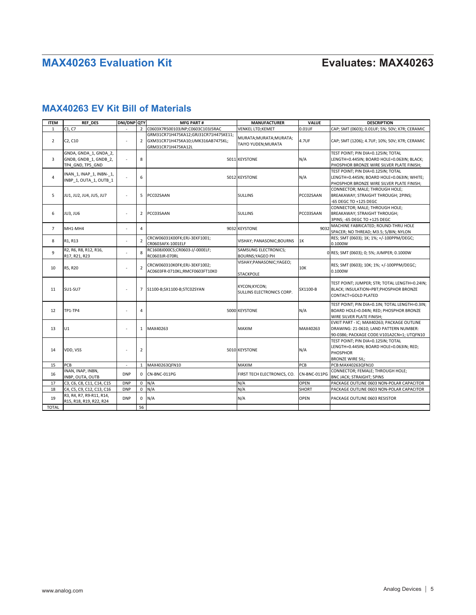# **MAX40263 EV Kit Bill of Materials**

| <b>ITEM</b>    | <b>REF DES</b>                                                     | <b>DNI/DNP QTY</b>       |                | <b>MFG PART#</b>                                                                                | <b>MANUFACTURER</b>                                    | <b>VALUE</b> | <b>DESCRIPTION</b>                                                                                                                |
|----------------|--------------------------------------------------------------------|--------------------------|----------------|-------------------------------------------------------------------------------------------------|--------------------------------------------------------|--------------|-----------------------------------------------------------------------------------------------------------------------------------|
| 1              | C1, C7                                                             |                          | $\overline{2}$ | C0603X7R500103JNP;C0603C103J5RAC                                                                | VENKEL LTD;KEMET                                       | $0.01$ UF    | CAP; SMT (0603); 0.01UF; 5%; 50V; X7R; CERAMIC                                                                                    |
| $\overline{2}$ | C2, C10                                                            | ٠                        | $\overline{2}$ | GRM31CR71H475KA12;GRJ31CR71H475KE11;<br>GXM31CR71H475KA10;UMK316AB7475KL;<br>GRM31CR71H475KA12L | MURATA; MURATA; MURATA;<br>TAIYO YUDEN;MURATA          | 4.7UF        | CAP; SMT (1206); 4.7UF; 10%; 50V; X7R; CERAMIC                                                                                    |
| 3              | GNDA, GNDA 1, GNDA 2,<br>GNDB, GNDB 1, GNDB 2,<br>TP4 GND, TP5 GND |                          | 8              |                                                                                                 | 5011 KEYSTONE                                          | N/A          | TEST POINT; PIN DIA=0.125IN; TOTAL<br>LENGTH=0.445IN; BOARD HOLE=0.063IN; BLACK;<br>PHOSPHOR BRONZE WIRE SILVER PLATE FINISH;     |
| 4              | INAN_1, INAP_1, INBN-_1,<br>INBP 1, OUTA 1, OUTB 1                 | ÷                        | 6              |                                                                                                 | 5012 KEYSTONE                                          | N/A          | TEST POINT; PIN DIA=0.125IN; TOTAL<br>LENGTH=0.445IN; BOARD HOLE=0.063IN; WHITE;<br>PHOSPHOR BRONZE WIRE SILVER PLATE FINISH;     |
| 5              | JU1, JU2, JU4, JU5, JU7                                            | ٠                        | 5              | PCC02SAAN                                                                                       | <b>SULLINS</b>                                         | PCC02SAAN    | CONNECTOR; MALE; THROUGH HOLE;<br>BREAKAWAY; STRAIGHT THROUGH; 2PINS;<br>-65 DEGC TO +125 DEGC                                    |
| 6              | <b>JU3, JU6</b>                                                    | ×,                       | $\overline{2}$ | PCC03SAAN                                                                                       | <b>SULLINS</b>                                         | PCC03SAAN    | CONNECTOR; MALE; THROUGH HOLE;<br>BREAKAWAY; STRAIGHT THROUGH;<br>3PINS; -65 DEGC TO +125 DEGC                                    |
| $\overline{7}$ | MH1-MH4                                                            |                          | 4              |                                                                                                 | 9032 KEYSTONE                                          | 9032         | MACHINE FABRICATED; ROUND-THRU HOLE<br>SPACER; NO THREAD; M3.5; 5/8IN; NYLON                                                      |
| 8              | R1, R13                                                            |                          | $\overline{2}$ | CRCW06031K00FK;ERJ-3EKF1001;<br>CR0603AFX-1001ELF                                               | VISHAY; PANASONIC; BOURNS                              | 1K           | RES; SMT (0603); 1K; 1%; +/-100PPM/DEGC;<br>0.1000W                                                                               |
| 9              | R2, R6, R8, R12, R16,<br>R17, R21, R23                             |                          | 8              | RC1608J000CS;CR0603-J/-000ELF;<br>RC0603JR-070RL                                                | <b>SAMSUNG ELECTRONICS;</b><br><b>BOURNS; YAGEO PH</b> |              | 0 RES; SMT (0603); 0; 5%; JUMPER; 0.1000W                                                                                         |
| 10             | R5, R20                                                            |                          | $\overline{2}$ | CRCW060310K0FK;ERJ-3EKF1002;<br>AC0603FR-0710KL;RMCF0603FT10K0                                  | VISHAY; PANASONIC; YAGEO;<br><b>STACKPOLE</b>          | 10K          | RES; SMT (0603); 10K; 1%; +/-100PPM/DEGC;<br>0.1000W                                                                              |
| 11             | <b>SU1-SU7</b>                                                     |                          |                | 7 S1100-B;SX1100-B;STC02SYAN                                                                    | KYCON;KYCON;<br>SULLINS ELECTRONICS CORP.              | SX1100-B     | TEST POINT; JUMPER; STR; TOTAL LENGTH=0.24IN;<br>BLACK; INSULATION=PBT;PHOSPHOR BRONZE<br>CONTACT=GOLD PLATED                     |
| 12             | TP1-TP4                                                            |                          | 4              |                                                                                                 | 5000 KEYSTONE                                          | N/A          | TEST POINT; PIN DIA=0.1IN; TOTAL LENGTH=0.3IN;<br>BOARD HOLE=0.04IN; RED; PHOSPHOR BRONZE<br>WIRE SILVER PLATE FINISH;            |
| 13             | U1                                                                 | ٠                        |                | 1 MAX40263                                                                                      | MAXIM                                                  | MAX40263     | EVKIT PART - IC; MAX40263; PACKAGE OUTLINE<br>DRAWING: 21-0610; LAND PATTERN NUMBER:<br>90-0386; PACKAGE CODE:V101A2CN+1; UTQFN10 |
| 14             | VDD, VSS                                                           |                          | $\overline{2}$ |                                                                                                 | 5010 KEYSTONE                                          | N/A          | TEST POINT; PIN DIA=0.125IN; TOTAL<br>LENGTH=0.445IN; BOARD HOLE=0.063IN; RED;<br><b>PHOSPHOR</b><br><b>BRONZE WIRE SIL;</b>      |
| 15             | PCB                                                                | $\overline{\phantom{a}}$ | $\mathbf{1}$   | MAX40263QFN10                                                                                   | MAXIM                                                  | PCB          | PCB:MAX40263QFN10                                                                                                                 |
| 16             | INAN, INAP, INBN,<br>INBP, OUTA, OUTB                              | <b>DNP</b>               | $\Omega$       | CN-BNC-011PG                                                                                    | FIRST TECH ELECTRONICS, CO.                            | CN-BNC-011PG | CONNECTOR; FEMALE; THROUGH HOLE;<br><b>BNC JACK; STRAIGHT; 5PINS</b>                                                              |
| 17             | C3, C6, C8, C11, C14, C15                                          | <b>DNP</b>               |                | $0$ N/A                                                                                         | N/A                                                    | OPEN         | PACKAGE OUTLINE 0603 NON-POLAR CAPACITOR                                                                                          |
| 18             | C4, C5, C9, C12, C13, C16                                          | <b>DNP</b>               | $\mathbf 0$    | N/A                                                                                             | N/A                                                    | <b>SHORT</b> | PACKAGE OUTLINE 0603 NON-POLAR CAPACITOR                                                                                          |
| 19             | R3, R4, R7, R9-R11, R14,<br>R15, R18, R19, R22, R24                | <b>DNP</b>               | $\mathbf 0$    | N/A                                                                                             | N/A                                                    | <b>OPEN</b>  | PACKAGE OUTLINE 0603 RESISTOR                                                                                                     |
| <b>TOTAL</b>   |                                                                    |                          | 56             |                                                                                                 |                                                        |              |                                                                                                                                   |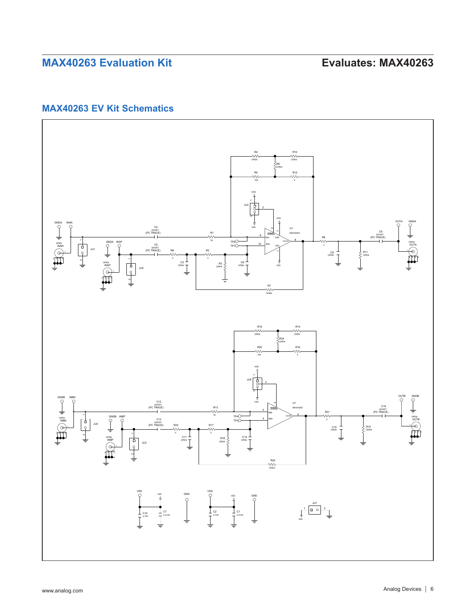## **MAX40263 EV Kit Schematics**

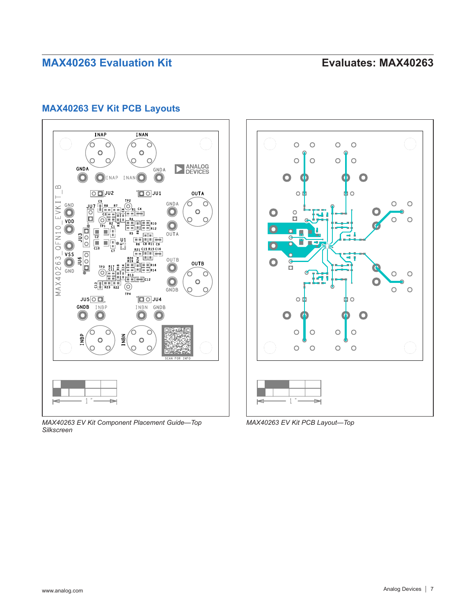# **MAX40263 EV Kit PCB Layouts**



*MAX40263 EV Kit Component Placement Guide—Top Silkscreen*



*MAX40263 EV Kit PCB Layout—Top*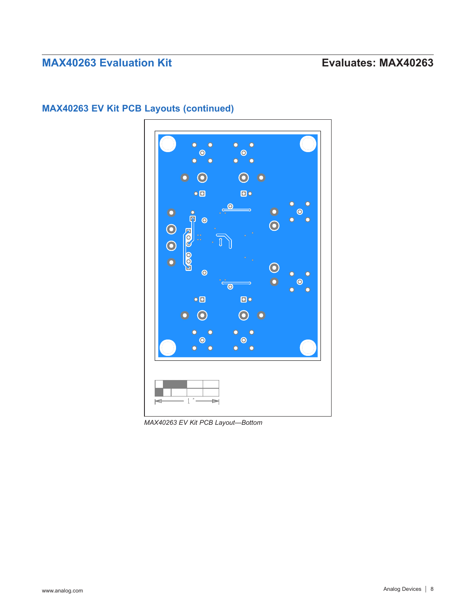

# **MAX40263 EV Kit PCB Layouts (continued)**